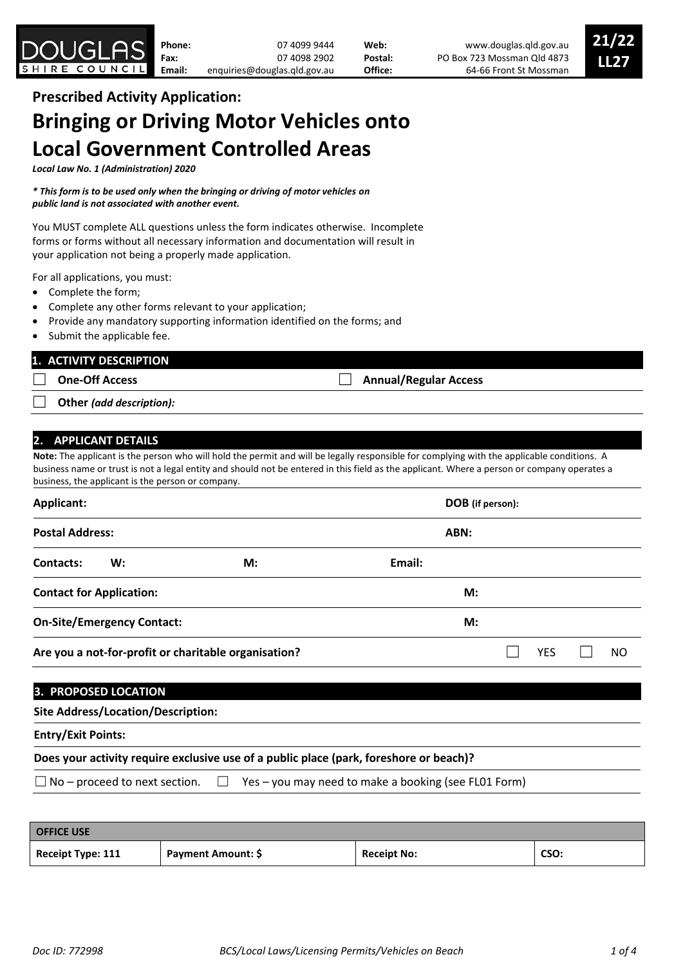

# **Prescribed Activity Application: Bringing or Driving Motor Vehicles onto Local Government Controlled Areas**

*Local Law No. 1 (Administration) 2020*

*\* This form is to be used only when the bringing or driving of motor vehicles on public land is not associated with another event.*

You MUST complete ALL questions unless the form indicates otherwise. Incomplete forms or forms without all necessary information and documentation will result in your application not being a properly made application.

For all applications, you must:

- Complete the form;
- Complete any other forms relevant to your application;
- Provide any mandatory supporting information identified on the forms; and
- Submit the applicable fee.

## **1. ACTIVITY DESCRIPTION**

☐ **One-Off Access** ☐ **Annual/Regular Access**

☐ **Other** *(add description):*

## **2. APPLICANT DETAILS**

**Note:** The applicant is the person who will hold the permit and will be legally responsible for complying with the applicable conditions. A business name or trust is not a legal entity and should not be entered in this field as the applicant. Where a person or company operates a business, the applicant is the person or company.

| Applicant:<br><b>Postal Address:</b>                 |                                 |    |        | DOB (if person): |  |            |  |    |
|------------------------------------------------------|---------------------------------|----|--------|------------------|--|------------|--|----|
|                                                      |                                 |    | ABN:   |                  |  |            |  |    |
| Contacts:                                            | W:                              | M: | Email: |                  |  |            |  |    |
|                                                      | <b>Contact for Application:</b> |    |        | M:               |  |            |  |    |
| <b>On-Site/Emergency Contact:</b>                    |                                 |    |        | M:               |  |            |  |    |
| Are you a not-for-profit or charitable organisation? |                                 |    |        |                  |  | <b>YES</b> |  | ΝO |
|                                                      | וחרודו חומים הם סמחים יכו       |    |        |                  |  |            |  |    |

## **3. PROPOSED LOCATION**

| <b>Site Address/Location/Description:</b> |  |  |
|-------------------------------------------|--|--|
|-------------------------------------------|--|--|

## **Entry/Exit Points:**

## **Does your activity require exclusive use of a public place (park, foreshore or beach)?**

 $\Box$  No – proceed to next section.  $\Box$  Yes – you may need to make a booking (see FL01 Form)

| <b>OFFICE USE</b> |                    |                    |      |
|-------------------|--------------------|--------------------|------|
| Receipt Type: 111 | Payment Amount: \$ | <b>Receipt No:</b> | CSO: |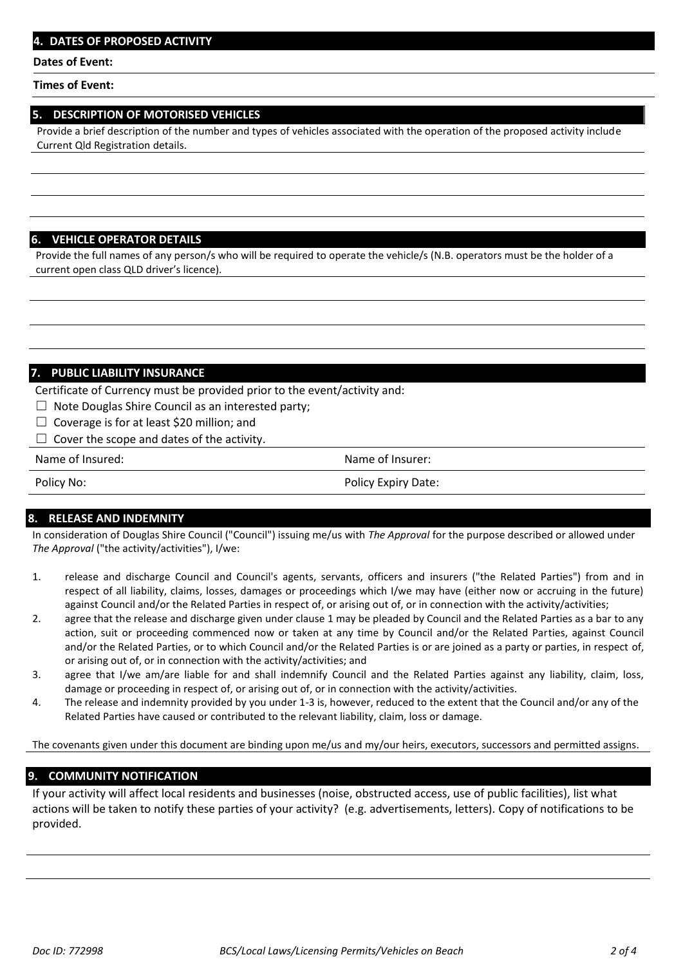#### **Dates of Event:**

#### **Times of Event:**

#### **5. DESCRIPTION OF MOTORISED VEHICLES**

Provide a brief description of the number and types of vehicles associated with the operation of the proposed activity include Current Qld Registration details.

#### **6. VEHICLE OPERATOR DETAILS**

Provide the full names of any person/s who will be required to operate the vehicle/s (N.B. operators must be the holder of a current open class QLD driver's licence).

#### **7. PUBLIC LIABILITY INSURANCE**

Certificate of Currency must be provided prior to the event/activity and:

- $\Box$  Note Douglas Shire Council as an interested party;
- ☐ Coverage is for at least \$20 million; and
- $\Box$  Cover the scope and dates of the activity.

Name of Insured: Name of Insurer:

Policy No: Policy Expiry Date:

#### **8. RELEASE AND INDEMNITY**

In consideration of Douglas Shire Council ("Council") issuing me/us with *The Approval* for the purpose described or allowed under *The Approval* ("the activity/activities"), I/we:

- 1. release and discharge Council and Council's agents, servants, officers and insurers ("the Related Parties") from and in respect of all liability, claims, losses, damages or proceedings which I/we may have (either now or accruing in the future) against Council and/or the Related Parties in respect of, or arising out of, or in connection with the activity/activities;
- 2. agree that the release and discharge given under clause 1 may be pleaded by Council and the Related Parties as a bar to any action, suit or proceeding commenced now or taken at any time by Council and/or the Related Parties, against Council and/or the Related Parties, or to which Council and/or the Related Parties is or are joined as a party or parties, in respect of, or arising out of, or in connection with the activity/activities; and
- 3. agree that I/we am/are liable for and shall indemnify Council and the Related Parties against any liability, claim, loss, damage or proceeding in respect of, or arising out of, or in connection with the activity/activities.
- 4. The release and indemnity provided by you under 1-3 is, however, reduced to the extent that the Council and/or any of the Related Parties have caused or contributed to the relevant liability, claim, loss or damage.

The covenants given under this document are binding upon me/us and my/our heirs, executors, successors and permitted assigns.

#### **9. COMMUNITY NOTIFICATION**

If your activity will affect local residents and businesses (noise, obstructed access, use of public facilities), list what actions will be taken to notify these parties of your activity? (e.g. advertisements, letters). Copy of notifications to be provided.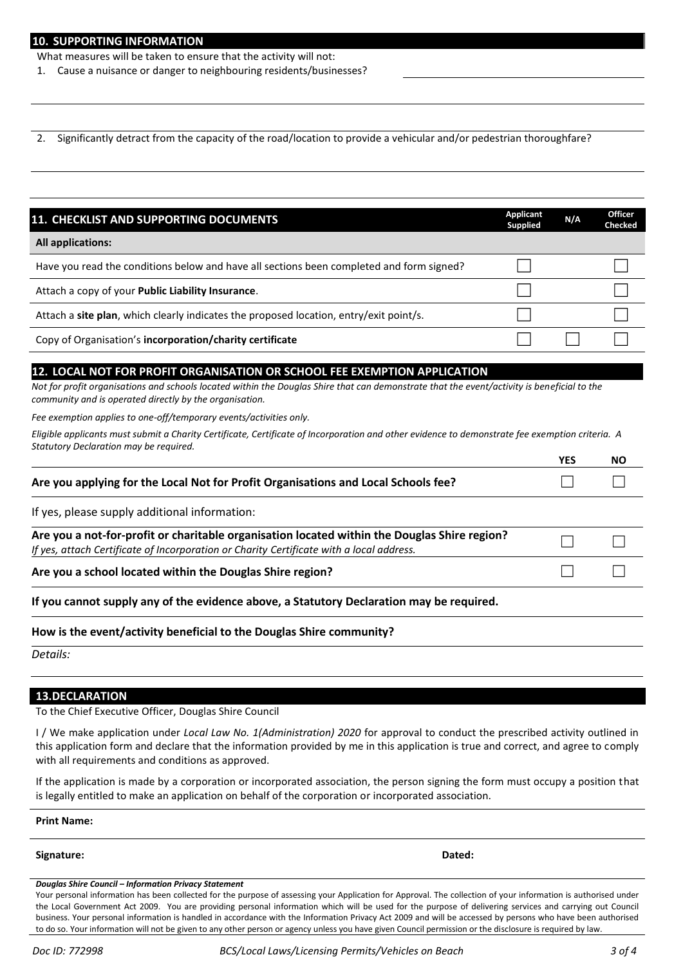What measures will be taken to ensure that the activity will not:

1. Cause a nuisance or danger to neighbouring residents/businesses?

2. Significantly detract from the capacity of the road/location to provide a vehicular and/or pedestrian thoroughfare?

| 11. CHECKLIST AND SUPPORTING DOCUMENTS                                                                                                                                                                                                                                              | <b>Applicant</b><br><b>Supplied</b> | N/A        | <b>Checked</b> |
|-------------------------------------------------------------------------------------------------------------------------------------------------------------------------------------------------------------------------------------------------------------------------------------|-------------------------------------|------------|----------------|
| <b>All applications:</b>                                                                                                                                                                                                                                                            |                                     |            |                |
| Have you read the conditions below and have all sections been completed and form signed?                                                                                                                                                                                            |                                     |            |                |
| Attach a copy of your Public Liability Insurance.                                                                                                                                                                                                                                   |                                     |            |                |
| Attach a site plan, which clearly indicates the proposed location, entry/exit point/s.                                                                                                                                                                                              |                                     |            |                |
| Copy of Organisation's incorporation/charity certificate                                                                                                                                                                                                                            |                                     |            |                |
| 12. LOCAL NOT FOR PROFIT ORGANISATION OR SCHOOL FEE EXEMPTION APPLICATION<br>Not for profit organisations and schools located within the Douglas Shire that can demonstrate that the event/activity is beneficial to the<br>community and is operated directly by the organisation. |                                     |            |                |
|                                                                                                                                                                                                                                                                                     |                                     |            |                |
| Fee exemption applies to one-off/temporary events/activities only.                                                                                                                                                                                                                  |                                     |            |                |
| Eligible applicants must submit a Charity Certificate, Certificate of Incorporation and other evidence to demonstrate fee exemption criteria. A                                                                                                                                     |                                     |            |                |
| Statutory Declaration may be required.                                                                                                                                                                                                                                              |                                     | <b>YES</b> | NO.            |
| Are you applying for the Local Not for Profit Organisations and Local Schools fee?                                                                                                                                                                                                  |                                     |            |                |
| If yes, please supply additional information:                                                                                                                                                                                                                                       |                                     |            |                |
| Are you a not-for-profit or charitable organisation located within the Douglas Shire region?<br>If yes, attach Certificate of Incorporation or Charity Certificate with a local address.                                                                                            |                                     |            |                |
| Are you a school located within the Douglas Shire region?                                                                                                                                                                                                                           |                                     |            |                |
| If you cannot supply any of the evidence above, a Statutory Declaration may be required.                                                                                                                                                                                            |                                     |            |                |
| How is the event/activity beneficial to the Douglas Shire community?                                                                                                                                                                                                                |                                     |            |                |

#### **13.DECLARATION**

To the Chief Executive Officer, Douglas Shire Council

I / We make application under *Local Law No. 1(Administration) 2020* for approval to conduct the prescribed activity outlined in this application form and declare that the information provided by me in this application is true and correct, and agree to comply with all requirements and conditions as approved.

If the application is made by a corporation or incorporated association, the person signing the form must occupy a position that is legally entitled to make an application on behalf of the corporation or incorporated association.

**Print Name:**

**Signature: Dated:** 

#### *Douglas Shire Council – Information Privacy Statement*

Your personal information has been collected for the purpose of assessing your Application for Approval. The collection of your information is authorised under the Local Government Act 2009. You are providing personal information which will be used for the purpose of delivering services and carrying out Council business. Your personal information is handled in accordance with the Information Privacy Act 2009 and will be accessed by persons who have been authorised to do so. Your information will not be given to any other person or agency unless you have given Council permission or the disclosure is required by law.